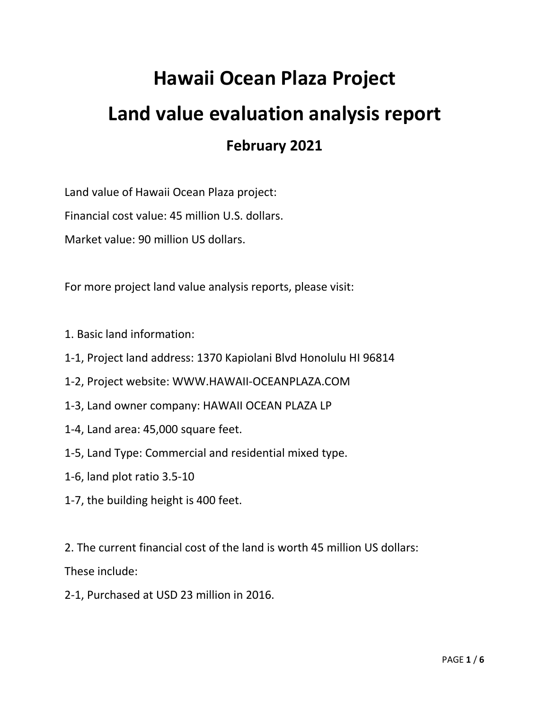## **Hawaii Ocean Plaza Project Land value evaluation analysis report February 2021**

Land value of Hawaii Ocean Plaza project:

Financial cost value: 45 million U.S. dollars.

Market value: 90 million US dollars.

For more project land value analysis reports, please visit:

- 1. Basic land information:
- 1-1, Project land address: 1370 Kapiolani Blvd Honolulu HI 96814
- 1-2, Project website: WWW.HAWAII-OCEANPLAZA.COM
- 1-3, Land owner company: HAWAII OCEAN PLAZA LP
- 1-4, Land area: 45,000 square feet.
- 1-5, Land Type: Commercial and residential mixed type.
- 1-6, land plot ratio 3.5-10
- 1-7, the building height is 400 feet.

2. The current financial cost of the land is worth 45 million US dollars:

These include:

2-1, Purchased at USD 23 million in 2016.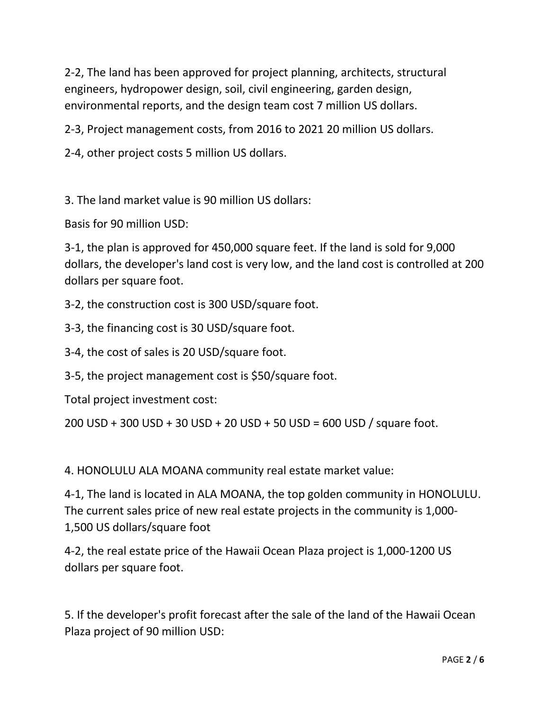2-2, The land has been approved for project planning, architects, structural engineers, hydropower design, soil, civil engineering, garden design, environmental reports, and the design team cost 7 million US dollars.

2-3, Project management costs, from 2016 to 2021 20 million US dollars.

2-4, other project costs 5 million US dollars.

3. The land market value is 90 million US dollars:

Basis for 90 million USD:

3-1, the plan is approved for 450,000 square feet. If the land is sold for 9,000 dollars, the developer's land cost is very low, and the land cost is controlled at 200 dollars per square foot.

3-2, the construction cost is 300 USD/square foot.

3-3, the financing cost is 30 USD/square foot.

3-4, the cost of sales is 20 USD/square foot.

3-5, the project management cost is \$50/square foot.

Total project investment cost:

200 USD + 300 USD + 30 USD + 20 USD + 50 USD = 600 USD / square foot.

4. HONOLULU ALA MOANA community real estate market value:

4-1, The land is located in ALA MOANA, the top golden community in HONOLULU.<br>The current sales price of new real estate projects in the community is 1,000-1,500 US dollars/square foot

4-2, the real estate price of the Hawaii Ocean Plaza project is 1,000-1200 US dollars per square foot.

5. If the developer's profit forecast after the sale of the land of the Hawaii Ocean Plaza project of 90 million USD: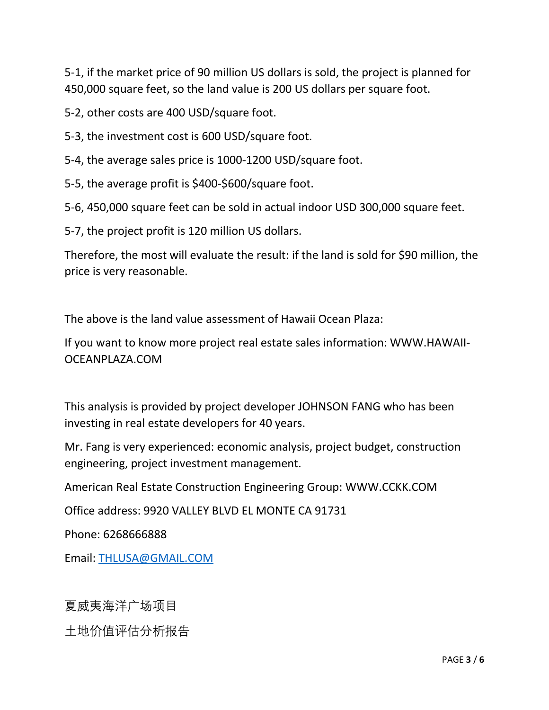5-1, if the market price of 90 million US dollars is sold, the project is planned for 450,000 square feet, so the land value is 200 US dollars per square foot.

5-2, other costs are 400 USD/square foot.

5-3, the investment cost is 600 USD/square foot.

5-4, the average sales price is 1000-1200 USD/square foot.

5-5, the average profit is \$400-\$600/square foot.

5-6, 450,000 square feet can be sold in actual indoor USD 300,000 square feet.

5-7, the project profit is 120 million US dollars.

Therefore, the most will evaluate the result: if the land is sold for \$90 million, the price is very reasonable.

The above is the land value assessment of Hawaii Ocean Plaza:

If you want to know more project real estate sales information: WWW.HAWAII-OCEANPLAZA.COM

This analysis is provided by project developer JOHNSON FANG whohas been investing in real estate developers for 40 years.

Mr. Fang is very experienced: economic analysis, project budget, construction engineering, project investment management.

American Real Estate Construction Engineering Group: WWW.CCKK.COM

Office address: 9920 VALLEY BLVD EL MONTE CA 91731

Phone: 6268666888

Email: [THLUSA@GMAIL.COM](mailto:THLUSA@GMAIL.COM)

夏威夷海洋广场项目

土地价值评估分析报告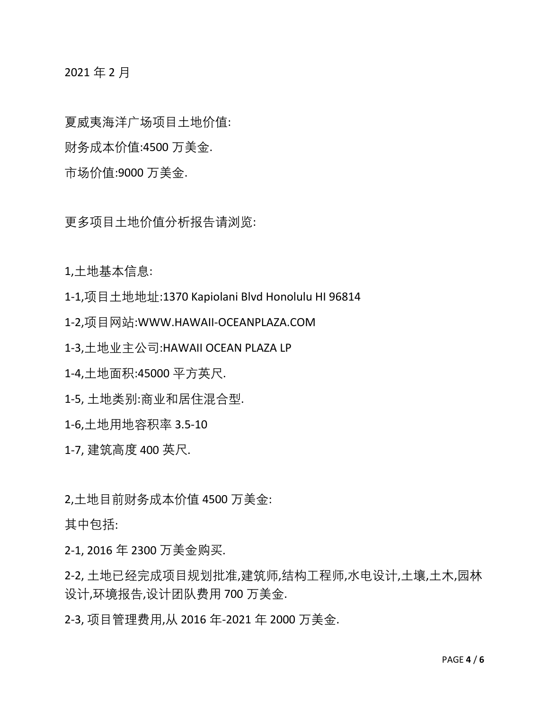2021 年 2 月

夏威夷海洋广场项目土地价值:

财务成本价值:4500 万美金.

市场价值:9000 万美金.

更多项目土地价值分析报告请浏览:

1,土地基本信息:

1-1,项目土地地址:1370 Kapiolani Blvd Honolulu HI 96814

1-2,项目网站:WWW.HAWAII-OCEANPLAZA.COM

1-3,土地业主公司:HAWAII OCEAN PLAZA LP

1-4,土地面积:45000 平方英尺.

1-5, 土地类别:商业和居住混合型.

1-6,土地用地容积率 3.5-10

1-7, 建筑高度 400 英尺.

2,土地目前财务成本价值 4500 万美金:

其中包括:

2-1, 2016 年 2300 万美金购买.

2-2, 土地已经完成项目规划批准,建筑师,结构工程师,水电设计,土壤,土木,园林 设计,环境报告,设计团队费用 700 万美金.

2-3, 项目管理费用,从 2016 年-2021 年 2000 万美金.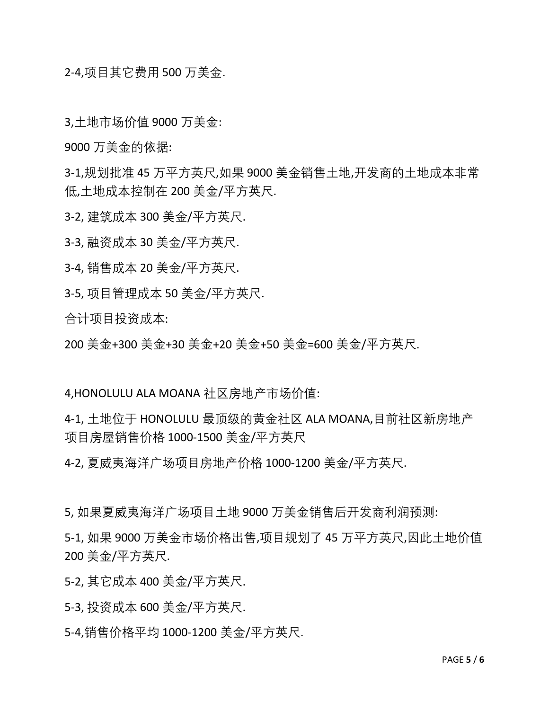2-4,项目其它费用 500 万美金.

3,土地市场价值 9000 万美金:

9000 万美金的依据:

3-1,规划批准 45 万平方英尺,如果 9000 美金销售土地,开发商的土地成本非常 低,土地成本控制在 200 美金/平方英尺.

3-2, 建筑成本 300 美金/平方英尺.

3-3, 融资成本 30 美金/平方英尺.

3-4, 销售成本 20 美金/平方英尺.

3-5, 项目管理成本 50 美金/平方英尺.

合计项目投资成本:

200 美金+300 美金+30 美金+20 美金+50 美金=600 美金/平方英尺.

4,HONOLULU ALA MOANA 社区房地产市场价值:

4-1, 土地位于 HONOLULU 最顶级的黄金社区 ALA MOANA,目前社区新房地产 项目房屋销售价格 1000-1500 美金/平方英尺

4-2, 夏威夷海洋广场项目房地产价格 1000-1200 美金/平方英尺.

5, 如果夏威夷海洋广场项目土地 9000 万美金销售后开发商利润预测:

5-1, 如果 9000 万美金市场价格出售,项目规划了 45 万平方英尺,因此土地价值 200 美金/平方英尺.

5-2, 其它成本 400 美金/平方英尺.

5-3, 投资成本 600 美金/平方英尺.

5-4,销售价格平均 1000-1200 美金/平方英尺.